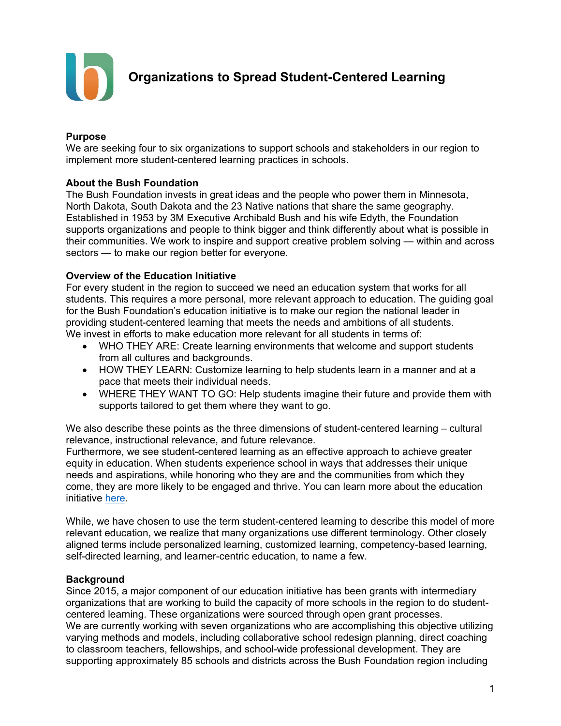

**Organizations to Spread Student-Centered Learning**

#### **Purpose**

We are seeking four to six organizations to support schools and stakeholders in our region to implement more student-centered learning practices in schools.

## **About the Bush Foundation**

The Bush Foundation invests in great ideas and the people who power them in Minnesota, North Dakota, South Dakota and the 23 Native nations that share the same geography. Established in 1953 by 3M Executive Archibald Bush and his wife Edyth, the Foundation supports organizations and people to think bigger and think differently about what is possible in their communities. We work to inspire and support creative problem solving — within and across sectors — to make our region better for everyone.

#### **Overview of the Education Initiative**

For every student in the region to succeed we need an education system that works for all students. This requires a more personal, more relevant approach to education. The guiding goal for the Bush Foundation's education initiative is to make our region the national leader in providing student-centered learning that meets the needs and ambitions of all students. We invest in efforts to make education more relevant for all students in terms of:

- WHO THEY ARE: Create learning environments that welcome and support students from all cultures and backgrounds.
- HOW THEY LEARN: Customize learning to help students learn in a manner and at a pace that meets their individual needs.
- WHERE THEY WANT TO GO: Help students imagine their future and provide them with supports tailored to get them where they want to go.

We also describe these points as the three dimensions of student-centered learning – cultural relevance, instructional relevance, and future relevance.

Furthermore, we see student-centered learning as an effective approach to achieve greater equity in education. When students experience school in ways that addresses their unique needs and aspirations, while honoring who they are and the communities from which they come, they are more likely to be engaged and thrive. You can learn more about the education initiative [here.](https://www.bushfoundation.org/education-initiative)

While, we have chosen to use the term student-centered learning to describe this model of more relevant education, we realize that many organizations use different terminology. Other closely aligned terms include personalized learning, customized learning, competency-based learning, self-directed learning, and learner-centric education, to name a few.

#### **Background**

Since 2015, a major component of our education initiative has been grants with intermediary organizations that are working to build the capacity of more schools in the region to do studentcentered learning. These organizations were sourced through open grant processes. We are currently working with seven organizations who are accomplishing this objective utilizing varying methods and models, including collaborative school redesign planning, direct coaching to classroom teachers, fellowships, and school-wide professional development. They are supporting approximately 85 schools and districts across the Bush Foundation region including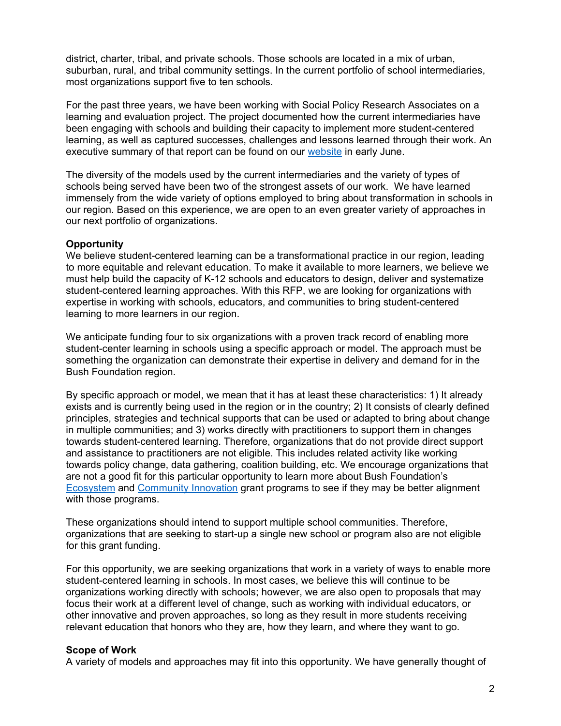district, charter, tribal, and private schools. Those schools are located in a mix of urban, suburban, rural, and tribal community settings. In the current portfolio of school intermediaries, most organizations support five to ten schools.

For the past three years, we have been working with Social Policy Research Associates on a learning and evaluation project. The project documented how the current intermediaries have been engaging with schools and building their capacity to implement more student-centered learning, as well as captured successes, challenges and lessons learned through their work. An executive summary of that report can be found on our [website](https://www.bushfoundation.org/education-initiative) in early June.

The diversity of the models used by the current intermediaries and the variety of types of schools being served have been two of the strongest assets of our work. We have learned immensely from the wide variety of options employed to bring about transformation in schools in our region. Based on this experience, we are open to an even greater variety of approaches in our next portfolio of organizations.

#### **Opportunity**

We believe student-centered learning can be a transformational practice in our region, leading to more equitable and relevant education. To make it available to more learners, we believe we must help build the capacity of K-12 schools and educators to design, deliver and systematize student-centered learning approaches. With this RFP, we are looking for organizations with expertise in working with schools, educators, and communities to bring student-centered learning to more learners in our region.

We anticipate funding four to six organizations with a proven track record of enabling more student-center learning in schools using a specific approach or model. The approach must be something the organization can demonstrate their expertise in delivery and demand for in the Bush Foundation region.

By specific approach or model, we mean that it has at least these characteristics: 1) It already exists and is currently being used in the region or in the country; 2) It consists of clearly defined principles, strategies and technical supports that can be used or adapted to bring about change in multiple communities; and 3) works directly with practitioners to support them in changes towards student-centered learning. Therefore, organizations that do not provide direct support and assistance to practitioners are not eligible. This includes related activity like working towards policy change, data gathering, coalition building, etc. We encourage organizations that are not a good fit for this particular opportunity to learn more about Bush Foundation's [Ecosystem](https://www.bushfoundation.org/ecosystem-grants) and [Community Innovation](https://www.bushfoundation.org/community-innovation-grants) grant programs to see if they may be better alignment with those programs.

These organizations should intend to support multiple school communities. Therefore, organizations that are seeking to start-up a single new school or program also are not eligible for this grant funding.

For this opportunity, we are seeking organizations that work in a variety of ways to enable more student-centered learning in schools. In most cases, we believe this will continue to be organizations working directly with schools; however, we are also open to proposals that may focus their work at a different level of change, such as working with individual educators, or other innovative and proven approaches, so long as they result in more students receiving relevant education that honors who they are, how they learn, and where they want to go.

#### **Scope of Work**

A variety of models and approaches may fit into this opportunity. We have generally thought of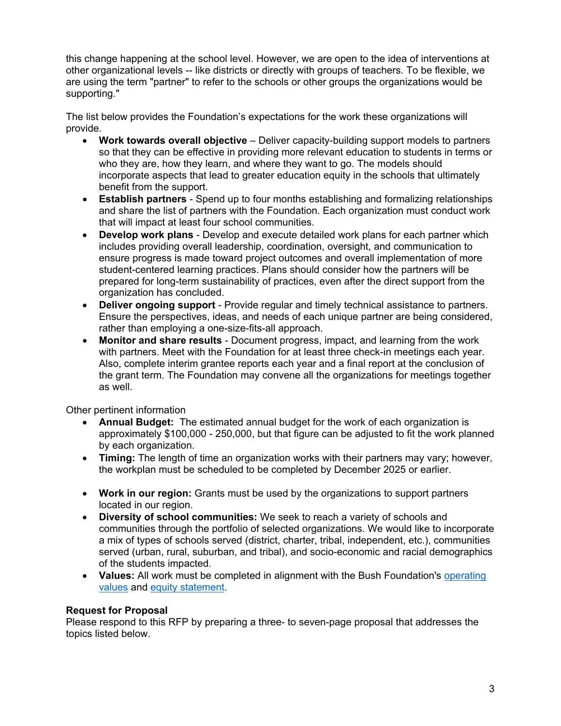this change happening at the school level. However, we are open to the idea of interventions at other organizational levels -- like districts or directly with groups of teachers. To be flexible, we are using the term "partner" to refer to the schools or other groups the organizations would be supporting."

The list below provides the Foundation's expectations for the work these organizations will provide.

- **Work towards overall objective** Deliver capacity-building support models to partners so that they can be effective in providing more relevant education to students in terms or who they are, how they learn, and where they want to go. The models should incorporate aspects that lead to greater education equity in the schools that ultimately benefit from the support.
- **Establish partners** Spend up to four months establishing and formalizing relationships and share the list of partners with the Foundation. Each organization must conduct work that will impact at least four school communities.
- **Develop work plans** Develop and execute detailed work plans for each partner which includes providing overall leadership, coordination, oversight, and communication to ensure progress is made toward project outcomes and overall implementation of more student-centered learning practices. Plans should consider how the partners will be prepared for long-term sustainability of practices, even after the direct support from the organization has concluded.
- **Deliver ongoing support** Provide regular and timely technical assistance to partners. Ensure the perspectives, ideas, and needs of each unique partner are being considered, rather than employing a one-size-fits-all approach.
- **Monitor and share results** Document progress, impact, and learning from the work with partners. Meet with the Foundation for at least three check-in meetings each year. Also, complete interim grantee reports each year and a final report at the conclusion of the grant term. The Foundation may convene all the organizations for meetings together as well.

Other pertinent information

- **Annual Budget:** The estimated annual budget for the work of each organization is approximately \$100,000 - 250,000, but that figure can be adjusted to fit the work planned by each organization.
- **Timing:** The length of time an organization works with their partners may vary; however, the workplan must be scheduled to be completed by December 2025 or earlier.
- **Work in our region:** Grants must be used by the organizations to support partners located in our region.
- **Diversity of school communities:** We seek to reach a variety of schools and communities through the portfolio of selected organizations. We would like to incorporate a mix of types of schools served (district, charter, tribal, independent, etc.), communities served (urban, rural, suburban, and tribal), and socio-economic and racial demographics of the students impacted.
- Values: All work must be completed in alignment with the Bush Foundation's operating [values](https://www.bushfoundation.org/our-values) and [equity statement.](https://www.bushfoundation.org/equity-statement)

## **Request for Proposal**

Please respond to this RFP by preparing a three- to seven-page proposal that addresses the topics listed below.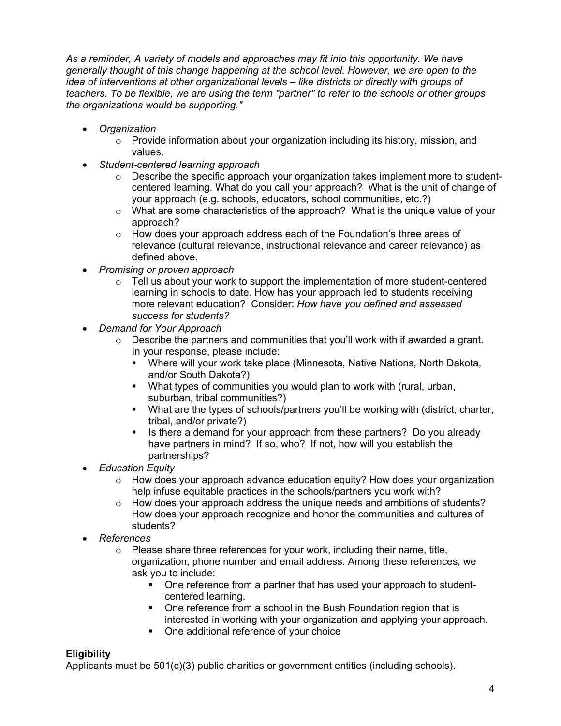*As a reminder, A variety of models and approaches may fit into this opportunity. We have generally thought of this change happening at the school level. However, we are open to the idea of interventions at other organizational levels – like districts or directly with groups of teachers. To be flexible, we are using the term "partner" to refer to the schools or other groups the organizations would be supporting."*

- *Organization*
	- $\circ$  Provide information about your organization including its history, mission, and values.
- *Student-centered learning approach*
	- $\circ$  Describe the specific approach your organization takes implement more to studentcentered learning. What do you call your approach? What is the unit of change of your approach (e.g. schools, educators, school communities, etc.?)
	- o What are some characteristics of the approach? What is the unique value of your approach?
	- o How does your approach address each of the Foundation's three areas of relevance (cultural relevance, instructional relevance and career relevance) as defined above.
- *Promising or proven approach*
	- $\circ$  Tell us about your work to support the implementation of more student-centered learning in schools to date. How has your approach led to students receiving more relevant education? Consider: *How have you defined and assessed success for students?*
- *Demand for Your Approach*
	- $\circ$  Describe the partners and communities that you'll work with if awarded a grant. In your response, please include:
		- Where will your work take place (Minnesota, Native Nations, North Dakota, and/or South Dakota?)
		- What types of communities you would plan to work with (rural, urban, suburban, tribal communities?)
		- What are the types of schools/partners you'll be working with (district, charter, tribal, and/or private?)
		- If Is there a demand for your approach from these partners? Do you already have partners in mind? If so, who? If not, how will you establish the partnerships?
- *Education Equity*
	- $\circ$  How does your approach advance education equity? How does your organization help infuse equitable practices in the schools/partners you work with?
	- $\circ$  How does your approach address the unique needs and ambitions of students? How does your approach recognize and honor the communities and cultures of students?
- *References*
	- $\circ$  Please share three references for your work, including their name, title, organization, phone number and email address. Among these references, we ask you to include:
		- One reference from a partner that has used your approach to studentcentered learning.
		- One reference from a school in the Bush Foundation region that is interested in working with your organization and applying your approach.
		- One additional reference of your choice

# **Eligibility**

Applicants must be  $501(c)(3)$  public charities or government entities (including schools).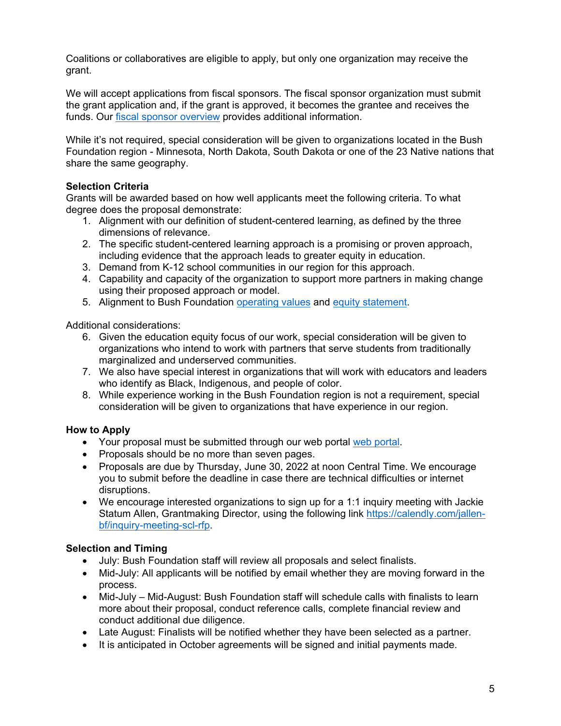Coalitions or collaboratives are eligible to apply, but only one organization may receive the grant.

We will accept applications from fiscal sponsors. The fiscal sponsor organization must submit the grant application and, if the grant is approved, it becomes the grantee and receives the funds. Our [fiscal sponsor overview](https://www.bushfoundation.org/fiscal-sponsorship) provides additional information.

While it's not required, special consideration will be given to organizations located in the Bush Foundation region - Minnesota, North Dakota, South Dakota or one of the 23 Native nations that share the same geography.

# **Selection Criteria**

Grants will be awarded based on how well applicants meet the following criteria. To what degree does the proposal demonstrate:

- 1. Alignment with our definition of student-centered learning, as defined by the three dimensions of relevance.
- 2. The specific student-centered learning approach is a promising or proven approach, including evidence that the approach leads to greater equity in education.
- 3. Demand from K-12 school communities in our region for this approach.
- 4. Capability and capacity of the organization to support more partners in making change using their proposed approach or model.
- 5. Alignment to Bush Foundation [operating values](https://www.bushfoundation.org/our-values) and [equity statement.](https://www.bushfoundation.org/equity-statement)

Additional considerations:

- 6. Given the education equity focus of our work, special consideration will be given to organizations who intend to work with partners that serve students from traditionally marginalized and underserved communities.
- 7. We also have special interest in organizations that will work with educators and leaders who identify as Black, Indigenous, and people of color.
- 8. While experience working in the Bush Foundation region is not a requirement, special consideration will be given to organizations that have experience in our region.

# **How to Apply**

- Your proposal must be submitted through our web portal [web portal.](https://www.tfaforms.com/4961755)
- Proposals should be no more than seven pages.
- Proposals are due by Thursday, June 30, 2022 at noon Central Time. We encourage you to submit before the deadline in case there are technical difficulties or internet disruptions.
- We encourage interested organizations to sign up for a 1:1 inquiry meeting with Jackie Statum Allen, Grantmaking Director, using the following link [https://calendly.com/jallen](https://calendly.com/jallen-bf/inquiry-meeting-scl-rfp)[bf/inquiry-meeting-scl-rfp.](https://calendly.com/jallen-bf/inquiry-meeting-scl-rfp)

## **Selection and Timing**

- July: Bush Foundation staff will review all proposals and select finalists.
- Mid-July: All applicants will be notified by email whether they are moving forward in the process.
- Mid-July Mid-August: Bush Foundation staff will schedule calls with finalists to learn more about their proposal, conduct reference calls, complete financial review and conduct additional due diligence.
- Late August: Finalists will be notified whether they have been selected as a partner.
- It is anticipated in October agreements will be signed and initial payments made.